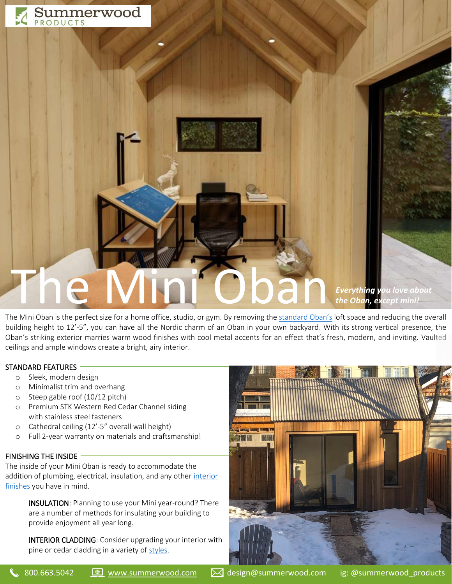

# The Mini<sup>c</sup>oban, except mini! *the Oban, except mini!*

The Mini Oban is the perfect size for a home office, studio, or gym. By removing the [standard Oban's](https://www.summerwood.com/products/cabins/oban) loft space and reducing the overall building height to 12'-5", you can have all the Nordic charm of an Oban in your own backyard. With its strong vertical presence, the Oban's striking exterior marries warm wood finishes with cool metal accents for an effect that's fresh, modern, and inviting. Vaulted ceilings and ample windows create a bright, airy interior.

# STANDARD FEATURES

- o Sleek, modern design
- o Minimalist trim and overhang
- o Steep gable roof (10/12 pitch)
- o Premium STK Western Red Cedar Channel siding with stainless steel fasteners
- o Cathedral ceiling (12'-5" overall wall height)
- o Full 2-year warranty on materials and craftsmanship!

# FINISHING THE INSIDE

The inside of your Mini Oban is ready to accommodate the addition of plumbing, electrical, insulation, and any other interior [finishes](https://www.summerwood.com/information/interior-finishings) you have in mind.

> INSULATION: Planning to use your Mini year-round? There are a number of methods for insulating your building to provide enjoyment all year long.

INTERIOR CLADDING: Consider upgrading your interior with pine or cedar cladding in a variety o[f styles.](https://www.summerwood.com/information/siding)